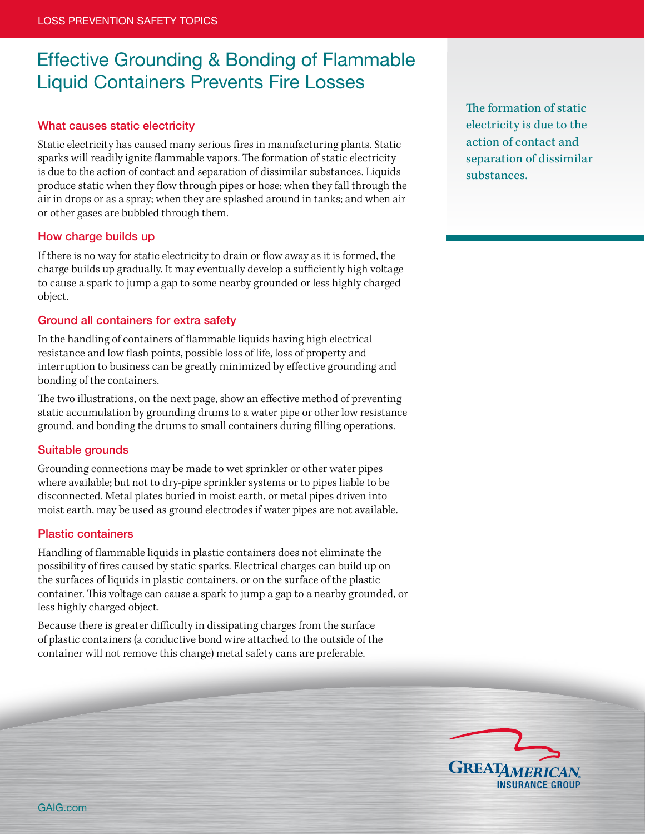# Effective Grounding & Bonding of Flammable Liquid Containers Prevents Fire Losses

## What causes static electricity

Static electricity has caused many serious fires in manufacturing plants. Static sparks will readily ignite flammable vapors. The formation of static electricity is due to the action of contact and separation of dissimilar substances. Liquids produce static when they flow through pipes or hose; when they fall through the air in drops or as a spray; when they are splashed around in tanks; and when air or other gases are bubbled through them.

### How charge builds up

If there is no way for static electricity to drain or flow away as it is formed, the charge builds up gradually. It may eventually develop a sufficiently high voltage to cause a spark to jump a gap to some nearby grounded or less highly charged object.

## Ground all containers for extra safety

In the handling of containers of flammable liquids having high electrical resistance and low flash points, possible loss of life, loss of property and interruption to business can be greatly minimized by effective grounding and bonding of the containers.

The two illustrations, on the next page, show an effective method of preventing static accumulation by grounding drums to a water pipe or other low resistance ground, and bonding the drums to small containers during filling operations.

### Suitable grounds

Grounding connections may be made to wet sprinkler or other water pipes where available; but not to dry-pipe sprinkler systems or to pipes liable to be disconnected. Metal plates buried in moist earth, or metal pipes driven into moist earth, may be used as ground electrodes if water pipes are not available.

### Plastic containers

Handling of flammable liquids in plastic containers does not eliminate the possibility of fires caused by static sparks. Electrical charges can build up on the surfaces of liquids in plastic containers, or on the surface of the plastic container. This voltage can cause a spark to jump a gap to a nearby grounded, or less highly charged object.

Because there is greater difficulty in dissipating charges from the surface of plastic containers (a conductive bond wire attached to the outside of the container will not remove this charge) metal safety cans are preferable.

The formation of static electricity is due to the action of contact and separation of dissimilar substances.